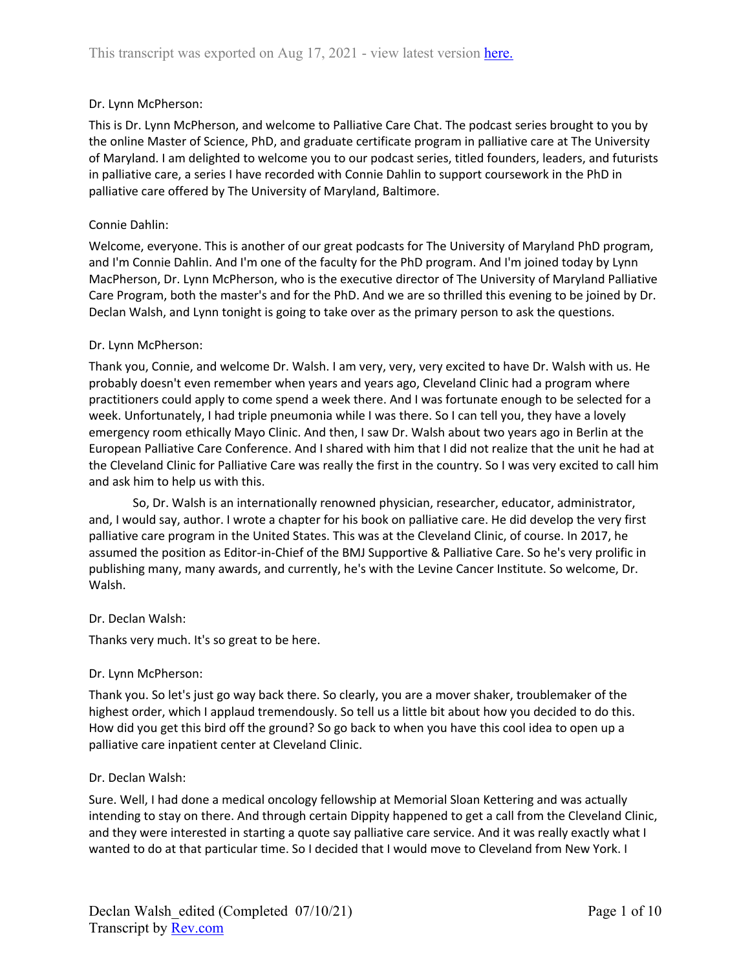# Dr. Lynn McPherson:

This is Dr. Lynn McPherson, and welcome to Palliative Care Chat. The podcast series brought to you by the online Master of Science, PhD, and graduate certificate program in palliative care at The University of Maryland. I am delighted to welcome you to our podcast series, titled founders, leaders, and futurists in palliative care, a series I have recorded with Connie Dahlin to support coursework in the PhD in palliative care offered by The University of Maryland, Baltimore.

# Connie Dahlin:

Welcome, everyone. This is another of our great podcasts for The University of Maryland PhD program, and I'm Connie Dahlin. And I'm one of the faculty for the PhD program. And I'm joined today by Lynn MacPherson, Dr. Lynn McPherson, who is the executive director of The University of Maryland Palliative Care Program, both the master's and for the PhD. And we are so thrilled this evening to be joined by Dr. Declan Walsh, and Lynn tonight is going to take over as the primary person to ask the questions.

# Dr. Lynn McPherson:

Thank you, Connie, and welcome Dr. Walsh. I am very, very, very excited to have Dr. Walsh with us. He probably doesn't even remember when years and years ago, Cleveland Clinic had a program where practitioners could apply to come spend a week there. And I was fortunate enough to be selected for a week. Unfortunately, I had triple pneumonia while I was there. So I can tell you, they have a lovely emergency room ethically Mayo Clinic. And then, I saw Dr. Walsh about two years ago in Berlin at the European Palliative Care Conference. And I shared with him that I did not realize that the unit he had at the Cleveland Clinic for Palliative Care was really the first in the country. So I was very excited to call him and ask him to help us with this.

So, Dr. Walsh is an internationally renowned physician, researcher, educator, administrator, and, I would say, author. I wrote a chapter for his book on palliative care. He did develop the very first palliative care program in the United States. This was at the Cleveland Clinic, of course. In 2017, he assumed the position as Editor-in-Chief of the BMJ Supportive & Palliative Care. So he's very prolific in publishing many, many awards, and currently, he's with the Levine Cancer Institute. So welcome, Dr. Walsh.

## Dr. Declan Walsh:

Thanks very much. It's so great to be here.

## Dr. Lynn McPherson:

Thank you. So let's just go way back there. So clearly, you are a mover shaker, troublemaker of the highest order, which I applaud tremendously. So tell us a little bit about how you decided to do this. How did you get this bird off the ground? So go back to when you have this cool idea to open up a palliative care inpatient center at Cleveland Clinic.

## Dr. Declan Walsh:

Sure. Well, I had done a medical oncology fellowship at Memorial Sloan Kettering and was actually intending to stay on there. And through certain Dippity happened to get a call from the Cleveland Clinic, and they were interested in starting a quote say palliative care service. And it was really exactly what I wanted to do at that particular time. So I decided that I would move to Cleveland from New York. I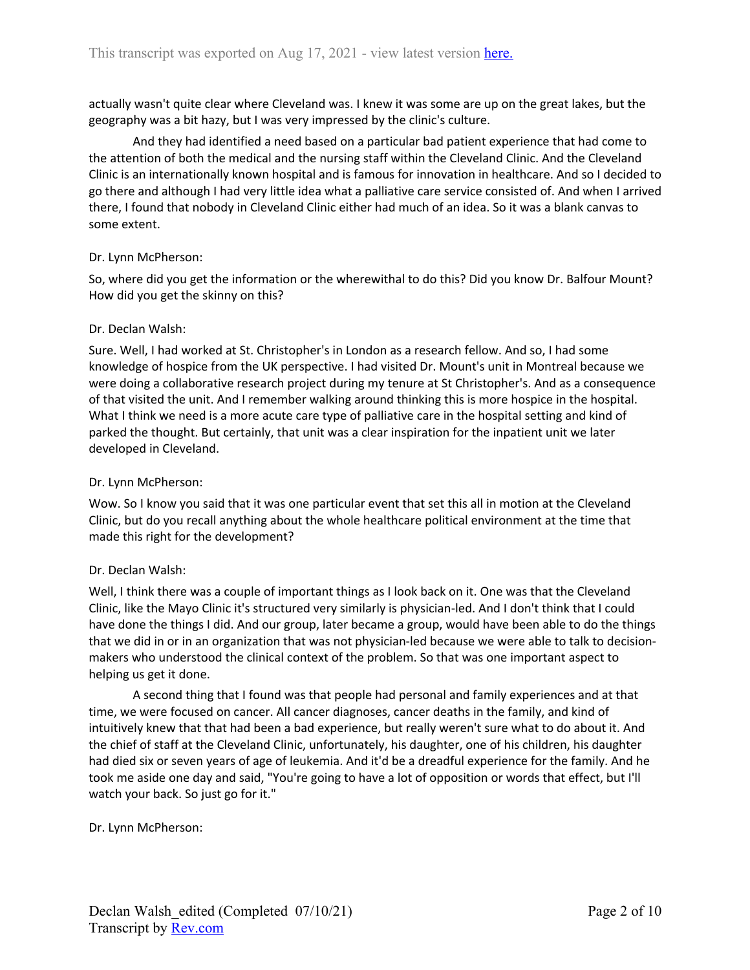actually wasn't quite clear where Cleveland was. I knew it was some are up on the great lakes, but the geography was a bit hazy, but I was very impressed by the clinic's culture.

And they had identified a need based on a particular bad patient experience that had come to the attention of both the medical and the nursing staff within the Cleveland Clinic. And the Cleveland Clinic is an internationally known hospital and is famous for innovation in healthcare. And so I decided to go there and although I had very little idea what a palliative care service consisted of. And when I arrived there, I found that nobody in Cleveland Clinic either had much of an idea. So it was a blank canvas to some extent.

## Dr. Lynn McPherson:

So, where did you get the information or the wherewithal to do this? Did you know Dr. Balfour Mount? How did you get the skinny on this?

## Dr. Declan Walsh:

Sure. Well, I had worked at St. Christopher's in London as a research fellow. And so, I had some knowledge of hospice from the UK perspective. I had visited Dr. Mount's unit in Montreal because we were doing a collaborative research project during my tenure at St Christopher's. And as a consequence of that visited the unit. And I remember walking around thinking this is more hospice in the hospital. What I think we need is a more acute care type of palliative care in the hospital setting and kind of parked the thought. But certainly, that unit was a clear inspiration for the inpatient unit we later developed in Cleveland.

### Dr. Lynn McPherson:

Wow. So I know you said that it was one particular event that set this all in motion at the Cleveland Clinic, but do you recall anything about the whole healthcare political environment at the time that made this right for the development?

## Dr. Declan Walsh:

Well, I think there was a couple of important things as I look back on it. One was that the Cleveland Clinic, like the Mayo Clinic it's structured very similarly is physician-led. And I don't think that I could have done the things I did. And our group, later became a group, would have been able to do the things that we did in or in an organization that was not physician-led because we were able to talk to decisionmakers who understood the clinical context of the problem. So that was one important aspect to helping us get it done.

A second thing that I found was that people had personal and family experiences and at that time, we were focused on cancer. All cancer diagnoses, cancer deaths in the family, and kind of intuitively knew that that had been a bad experience, but really weren't sure what to do about it. And the chief of staff at the Cleveland Clinic, unfortunately, his daughter, one of his children, his daughter had died six or seven years of age of leukemia. And it'd be a dreadful experience for the family. And he took me aside one day and said, "You're going to have a lot of opposition or words that effect, but I'll watch your back. So just go for it."

## Dr. Lynn McPherson: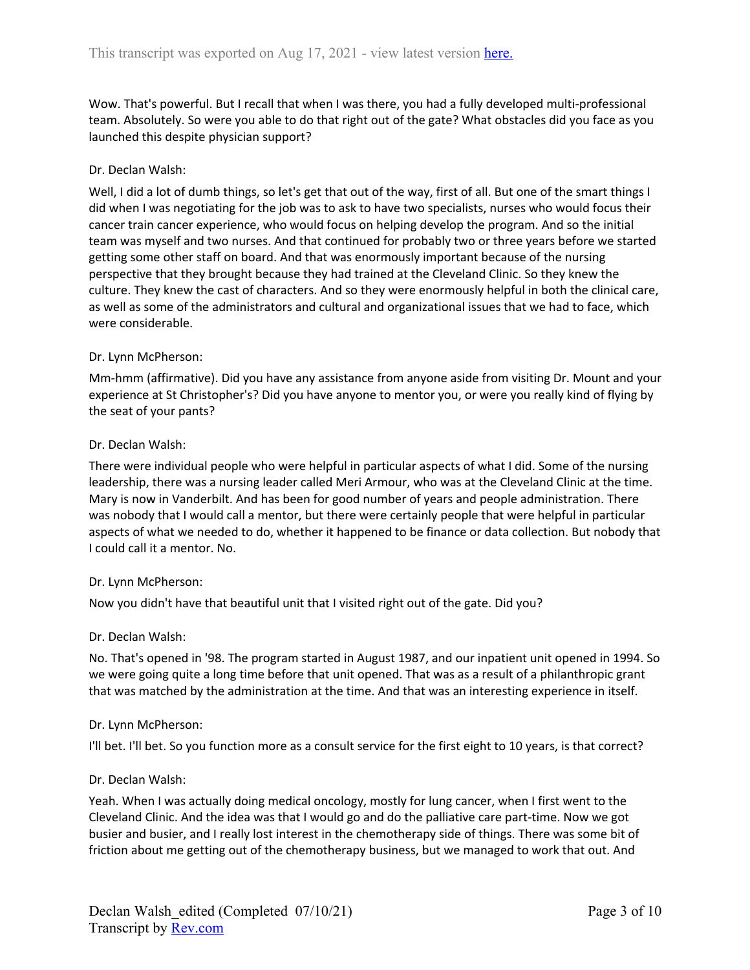Wow. That's powerful. But I recall that when I was there, you had a fully developed multi-professional team. Absolutely. So were you able to do that right out of the gate? What obstacles did you face as you launched this despite physician support?

### Dr. Declan Walsh:

Well, I did a lot of dumb things, so let's get that out of the way, first of all. But one of the smart things I did when I was negotiating for the job was to ask to have two specialists, nurses who would focus their cancer train cancer experience, who would focus on helping develop the program. And so the initial team was myself and two nurses. And that continued for probably two or three years before we started getting some other staff on board. And that was enormously important because of the nursing perspective that they brought because they had trained at the Cleveland Clinic. So they knew the culture. They knew the cast of characters. And so they were enormously helpful in both the clinical care, as well as some of the administrators and cultural and organizational issues that we had to face, which were considerable.

### Dr. Lynn McPherson:

Mm-hmm (affirmative). Did you have any assistance from anyone aside from visiting Dr. Mount and your experience at St Christopher's? Did you have anyone to mentor you, or were you really kind of flying by the seat of your pants?

### Dr. Declan Walsh:

There were individual people who were helpful in particular aspects of what I did. Some of the nursing leadership, there was a nursing leader called Meri Armour, who was at the Cleveland Clinic at the time. Mary is now in Vanderbilt. And has been for good number of years and people administration. There was nobody that I would call a mentor, but there were certainly people that were helpful in particular aspects of what we needed to do, whether it happened to be finance or data collection. But nobody that I could call it a mentor. No.

#### Dr. Lynn McPherson:

Now you didn't have that beautiful unit that I visited right out of the gate. Did you?

#### Dr. Declan Walsh:

No. That's opened in '98. The program started in August 1987, and our inpatient unit opened in 1994. So we were going quite a long time before that unit opened. That was as a result of a philanthropic grant that was matched by the administration at the time. And that was an interesting experience in itself.

#### Dr. Lynn McPherson:

I'll bet. I'll bet. So you function more as a consult service for the first eight to 10 years, is that correct?

#### Dr. Declan Walsh:

Yeah. When I was actually doing medical oncology, mostly for lung cancer, when I first went to the Cleveland Clinic. And the idea was that I would go and do the palliative care part-time. Now we got busier and busier, and I really lost interest in the chemotherapy side of things. There was some bit of friction about me getting out of the chemotherapy business, but we managed to work that out. And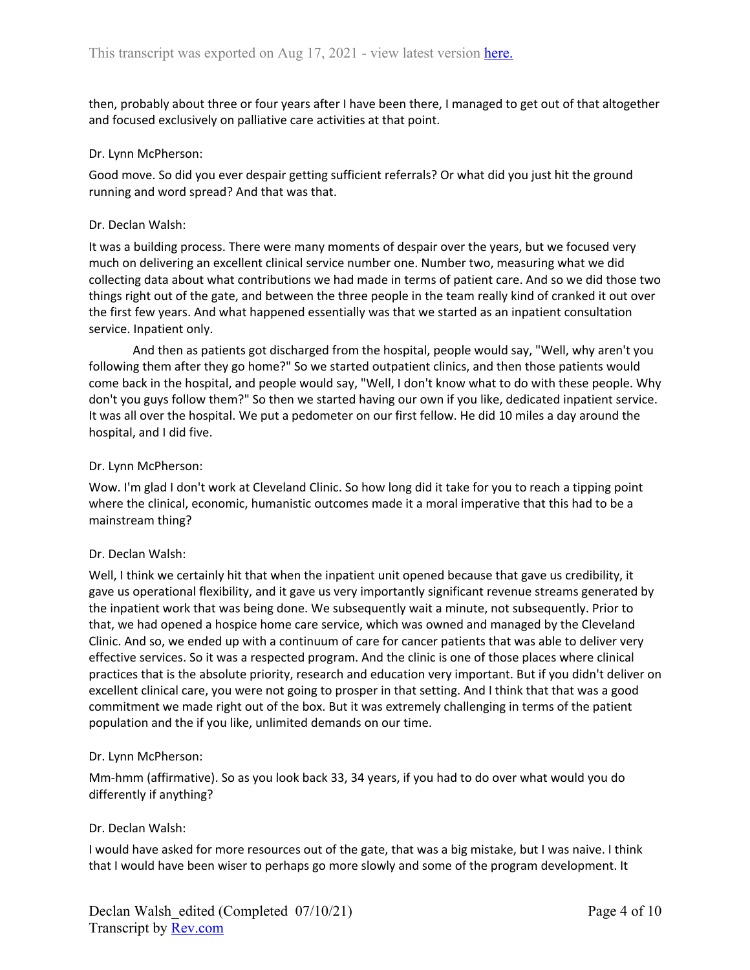then, probably about three or four years after I have been there, I managed to get out of that altogether and focused exclusively on palliative care activities at that point.

### Dr. Lynn McPherson:

Good move. So did you ever despair getting sufficient referrals? Or what did you just hit the ground running and word spread? And that was that.

### Dr. Declan Walsh:

It was a building process. There were many moments of despair over the years, but we focused very much on delivering an excellent clinical service number one. Number two, measuring what we did collecting data about what contributions we had made in terms of patient care. And so we did those two things right out of the gate, and between the three people in the team really kind of cranked it out over the first few years. And what happened essentially was that we started as an inpatient consultation service. Inpatient only.

And then as patients got discharged from the hospital, people would say, "Well, why aren't you following them after they go home?" So we started outpatient clinics, and then those patients would come back in the hospital, and people would say, "Well, I don't know what to do with these people. Why don't you guys follow them?" So then we started having our own if you like, dedicated inpatient service. It was all over the hospital. We put a pedometer on our first fellow. He did 10 miles a day around the hospital, and I did five.

### Dr. Lynn McPherson:

Wow. I'm glad I don't work at Cleveland Clinic. So how long did it take for you to reach a tipping point where the clinical, economic, humanistic outcomes made it a moral imperative that this had to be a mainstream thing?

## Dr. Declan Walsh:

Well, I think we certainly hit that when the inpatient unit opened because that gave us credibility, it gave us operational flexibility, and it gave us very importantly significant revenue streams generated by the inpatient work that was being done. We subsequently wait a minute, not subsequently. Prior to that, we had opened a hospice home care service, which was owned and managed by the Cleveland Clinic. And so, we ended up with a continuum of care for cancer patients that was able to deliver very effective services. So it was a respected program. And the clinic is one of those places where clinical practices that is the absolute priority, research and education very important. But if you didn't deliver on excellent clinical care, you were not going to prosper in that setting. And I think that that was a good commitment we made right out of the box. But it was extremely challenging in terms of the patient population and the if you like, unlimited demands on our time.

## Dr. Lynn McPherson:

Mm-hmm (affirmative). So as you look back 33, 34 years, if you had to do over what would you do differently if anything?

## Dr. Declan Walsh:

I would have asked for more resources out of the gate, that was a big mistake, but I was naive. I think that I would have been wiser to perhaps go more slowly and some of the program development. It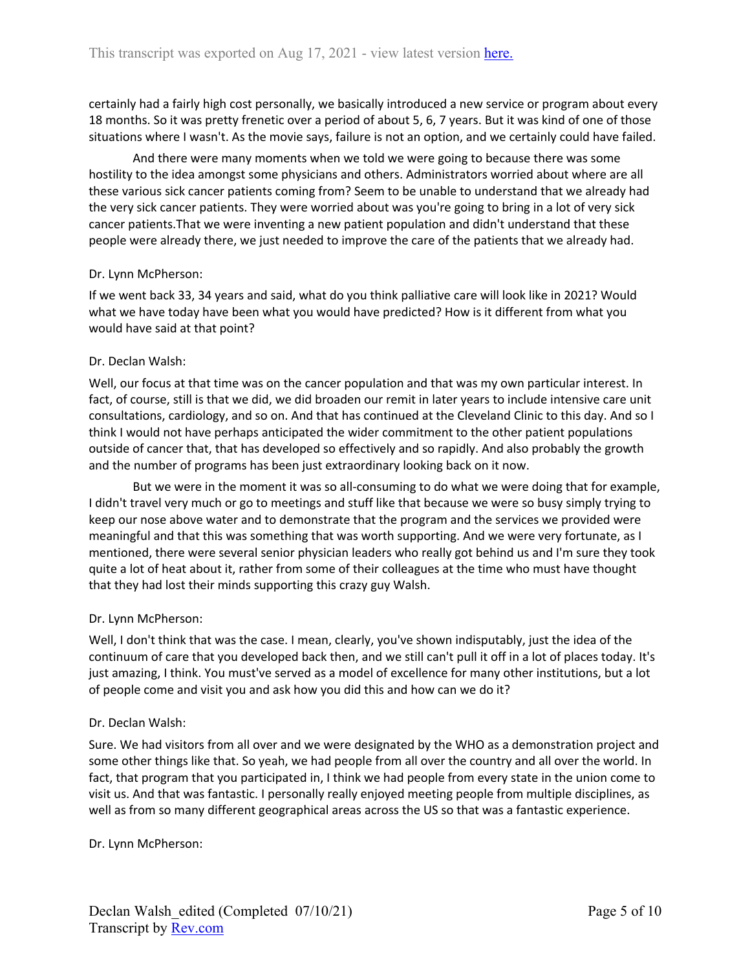certainly had a fairly high cost personally, we basically introduced a new service or program about every 18 months. So it was pretty frenetic over a period of about 5, 6, 7 years. But it was kind of one of those situations where I wasn't. As the movie says, failure is not an option, and we certainly could have failed.

And there were many moments when we told we were going to because there was some hostility to the idea amongst some physicians and others. Administrators worried about where are all these various sick cancer patients coming from? Seem to be unable to understand that we already had the very sick cancer patients. They were worried about was you're going to bring in a lot of very sick cancer patients.That we were inventing a new patient population and didn't understand that these people were already there, we just needed to improve the care of the patients that we already had.

### Dr. Lynn McPherson:

If we went back 33, 34 years and said, what do you think palliative care will look like in 2021? Would what we have today have been what you would have predicted? How is it different from what you would have said at that point?

### Dr. Declan Walsh:

Well, our focus at that time was on the cancer population and that was my own particular interest. In fact, of course, still is that we did, we did broaden our remit in later years to include intensive care unit consultations, cardiology, and so on. And that has continued at the Cleveland Clinic to this day. And so I think I would not have perhaps anticipated the wider commitment to the other patient populations outside of cancer that, that has developed so effectively and so rapidly. And also probably the growth and the number of programs has been just extraordinary looking back on it now.

But we were in the moment it was so all-consuming to do what we were doing that for example, I didn't travel very much or go to meetings and stuff like that because we were so busy simply trying to keep our nose above water and to demonstrate that the program and the services we provided were meaningful and that this was something that was worth supporting. And we were very fortunate, as I mentioned, there were several senior physician leaders who really got behind us and I'm sure they took quite a lot of heat about it, rather from some of their colleagues at the time who must have thought that they had lost their minds supporting this crazy guy Walsh.

## Dr. Lynn McPherson:

Well, I don't think that was the case. I mean, clearly, you've shown indisputably, just the idea of the continuum of care that you developed back then, and we still can't pull it off in a lot of places today. It's just amazing, I think. You must've served as a model of excellence for many other institutions, but a lot of people come and visit you and ask how you did this and how can we do it?

#### Dr. Declan Walsh:

Sure. We had visitors from all over and we were designated by the WHO as a demonstration project and some other things like that. So yeah, we had people from all over the country and all over the world. In fact, that program that you participated in, I think we had people from every state in the union come to visit us. And that was fantastic. I personally really enjoyed meeting people from multiple disciplines, as well as from so many different geographical areas across the US so that was a fantastic experience.

Dr. Lynn McPherson: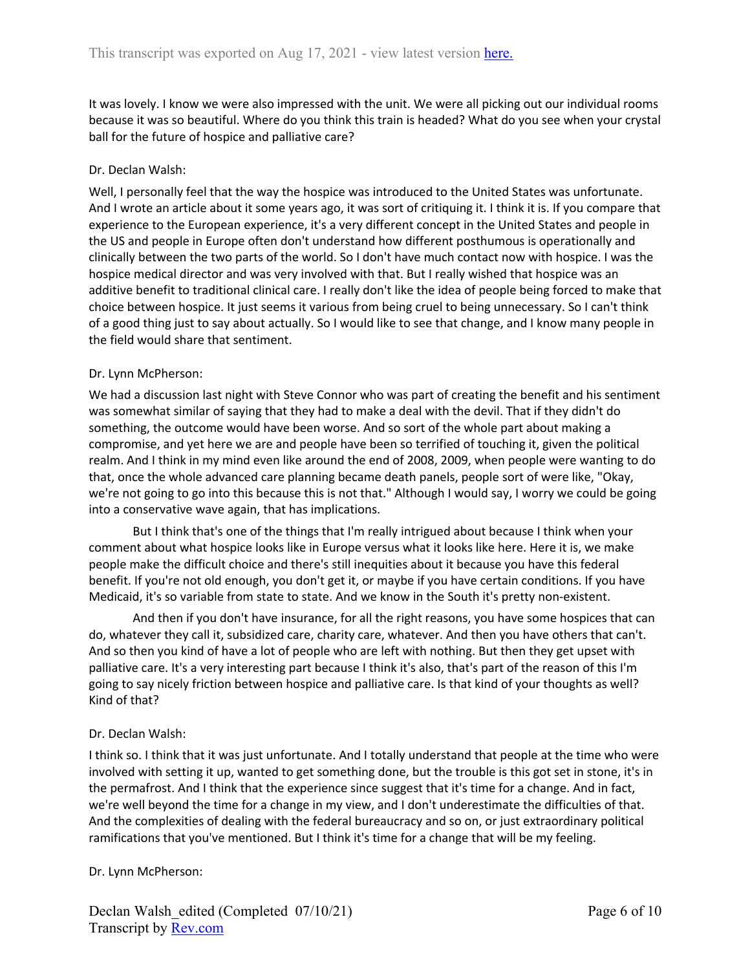It was lovely. I know we were also impressed with the unit. We were all picking out our individual rooms because it was so beautiful. Where do you think this train is headed? What do you see when your crystal ball for the future of hospice and palliative care?

# Dr. Declan Walsh:

Well, I personally feel that the way the hospice was introduced to the United States was unfortunate. And I wrote an article about it some years ago, it was sort of critiquing it. I think it is. If you compare that experience to the European experience, it's a very different concept in the United States and people in the US and people in Europe often don't understand how different posthumous is operationally and clinically between the two parts of the world. So I don't have much contact now with hospice. I was the hospice medical director and was very involved with that. But I really wished that hospice was an additive benefit to traditional clinical care. I really don't like the idea of people being forced to make that choice between hospice. It just seems it various from being cruel to being unnecessary. So I can't think of a good thing just to say about actually. So I would like to see that change, and I know many people in the field would share that sentiment.

# Dr. Lynn McPherson:

We had a discussion last night with Steve Connor who was part of creating the benefit and his sentiment was somewhat similar of saying that they had to make a deal with the devil. That if they didn't do something, the outcome would have been worse. And so sort of the whole part about making a compromise, and yet here we are and people have been so terrified of touching it, given the political realm. And I think in my mind even like around the end of 2008, 2009, when people were wanting to do that, once the whole advanced care planning became death panels, people sort of were like, "Okay, we're not going to go into this because this is not that." Although I would say, I worry we could be going into a conservative wave again, that has implications.

But I think that's one of the things that I'm really intrigued about because I think when your comment about what hospice looks like in Europe versus what it looks like here. Here it is, we make people make the difficult choice and there's still inequities about it because you have this federal benefit. If you're not old enough, you don't get it, or maybe if you have certain conditions. If you have Medicaid, it's so variable from state to state. And we know in the South it's pretty non-existent.

And then if you don't have insurance, for all the right reasons, you have some hospices that can do, whatever they call it, subsidized care, charity care, whatever. And then you have others that can't. And so then you kind of have a lot of people who are left with nothing. But then they get upset with palliative care. It's a very interesting part because I think it's also, that's part of the reason of this I'm going to say nicely friction between hospice and palliative care. Is that kind of your thoughts as well? Kind of that?

# Dr. Declan Walsh:

I think so. I think that it was just unfortunate. And I totally understand that people at the time who were involved with setting it up, wanted to get something done, but the trouble is this got set in stone, it's in the permafrost. And I think that the experience since suggest that it's time for a change. And in fact, we're well beyond the time for a change in my view, and I don't underestimate the difficulties of that. And the complexities of dealing with the federal bureaucracy and so on, or just extraordinary political ramifications that you've mentioned. But I think it's time for a change that will be my feeling.

## Dr. Lynn McPherson: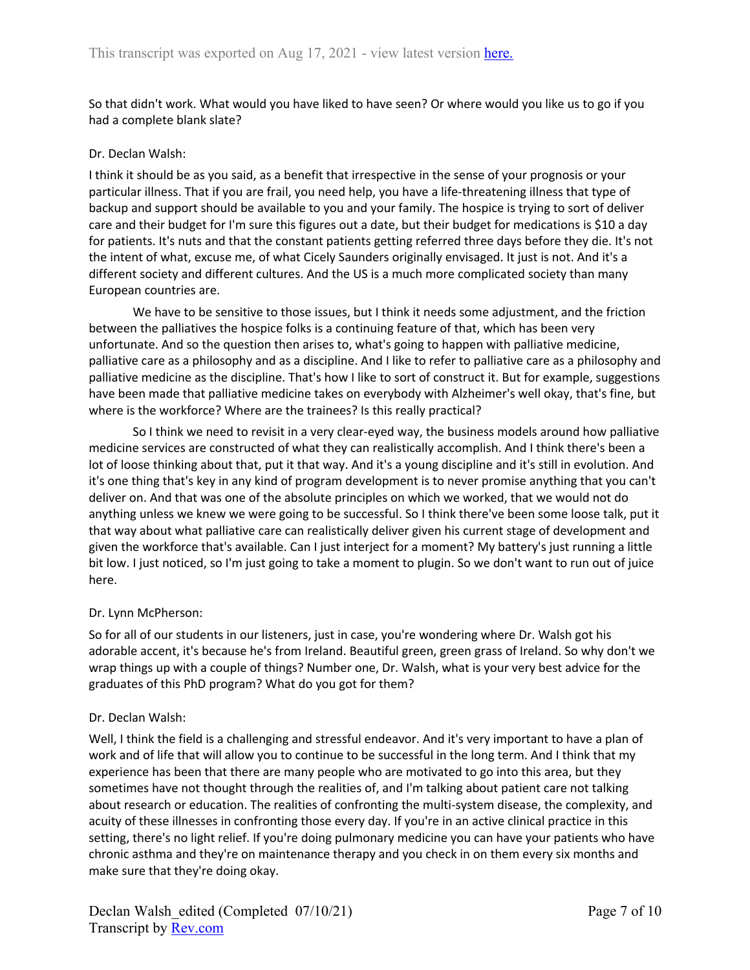So that didn't work. What would you have liked to have seen? Or where would you like us to go if you had a complete blank slate?

### Dr. Declan Walsh:

I think it should be as you said, as a benefit that irrespective in the sense of your prognosis or your particular illness. That if you are frail, you need help, you have a life-threatening illness that type of backup and support should be available to you and your family. The hospice is trying to sort of deliver care and their budget for I'm sure this figures out a date, but their budget for medications is \$10 a day for patients. It's nuts and that the constant patients getting referred three days before they die. It's not the intent of what, excuse me, of what Cicely Saunders originally envisaged. It just is not. And it's a different society and different cultures. And the US is a much more complicated society than many European countries are.

We have to be sensitive to those issues, but I think it needs some adjustment, and the friction between the palliatives the hospice folks is a continuing feature of that, which has been very unfortunate. And so the question then arises to, what's going to happen with palliative medicine, palliative care as a philosophy and as a discipline. And I like to refer to palliative care as a philosophy and palliative medicine as the discipline. That's how I like to sort of construct it. But for example, suggestions have been made that palliative medicine takes on everybody with Alzheimer's well okay, that's fine, but where is the workforce? Where are the trainees? Is this really practical?

So I think we need to revisit in a very clear-eyed way, the business models around how palliative medicine services are constructed of what they can realistically accomplish. And I think there's been a lot of loose thinking about that, put it that way. And it's a young discipline and it's still in evolution. And it's one thing that's key in any kind of program development is to never promise anything that you can't deliver on. And that was one of the absolute principles on which we worked, that we would not do anything unless we knew we were going to be successful. So I think there've been some loose talk, put it that way about what palliative care can realistically deliver given his current stage of development and given the workforce that's available. Can I just interject for a moment? My battery's just running a little bit low. I just noticed, so I'm just going to take a moment to plugin. So we don't want to run out of juice here.

## Dr. Lynn McPherson:

So for all of our students in our listeners, just in case, you're wondering where Dr. Walsh got his adorable accent, it's because he's from Ireland. Beautiful green, green grass of Ireland. So why don't we wrap things up with a couple of things? Number one, Dr. Walsh, what is your very best advice for the graduates of this PhD program? What do you got for them?

## Dr. Declan Walsh:

Well, I think the field is a challenging and stressful endeavor. And it's very important to have a plan of work and of life that will allow you to continue to be successful in the long term. And I think that my experience has been that there are many people who are motivated to go into this area, but they sometimes have not thought through the realities of, and I'm talking about patient care not talking about research or education. The realities of confronting the multi-system disease, the complexity, and acuity of these illnesses in confronting those every day. If you're in an active clinical practice in this setting, there's no light relief. If you're doing pulmonary medicine you can have your patients who have chronic asthma and they're on maintenance therapy and you check in on them every six months and make sure that they're doing okay.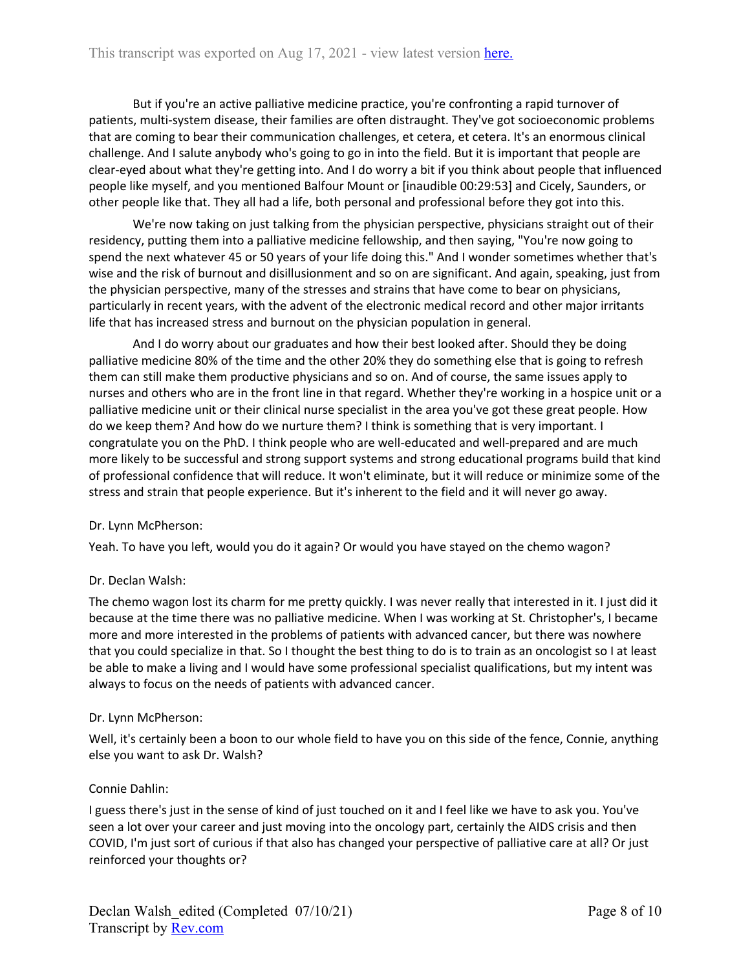But if you're an active palliative medicine practice, you're confronting a rapid turnover of patients, multi-system disease, their families are often distraught. They've got socioeconomic problems that are coming to bear their communication challenges, et cetera, et cetera. It's an enormous clinical challenge. And I salute anybody who's going to go in into the field. But it is important that people are clear-eyed about what they're getting into. And I do worry a bit if you think about people that influenced people like myself, and you mentioned Balfour Mount or [inaudible 00:29:53] and Cicely, Saunders, or other people like that. They all had a life, both personal and professional before they got into this.

We're now taking on just talking from the physician perspective, physicians straight out of their residency, putting them into a palliative medicine fellowship, and then saying, "You're now going to spend the next whatever 45 or 50 years of your life doing this." And I wonder sometimes whether that's wise and the risk of burnout and disillusionment and so on are significant. And again, speaking, just from the physician perspective, many of the stresses and strains that have come to bear on physicians, particularly in recent years, with the advent of the electronic medical record and other major irritants life that has increased stress and burnout on the physician population in general.

And I do worry about our graduates and how their best looked after. Should they be doing palliative medicine 80% of the time and the other 20% they do something else that is going to refresh them can still make them productive physicians and so on. And of course, the same issues apply to nurses and others who are in the front line in that regard. Whether they're working in a hospice unit or a palliative medicine unit or their clinical nurse specialist in the area you've got these great people. How do we keep them? And how do we nurture them? I think is something that is very important. I congratulate you on the PhD. I think people who are well-educated and well-prepared and are much more likely to be successful and strong support systems and strong educational programs build that kind of professional confidence that will reduce. It won't eliminate, but it will reduce or minimize some of the stress and strain that people experience. But it's inherent to the field and it will never go away.

## Dr. Lynn McPherson:

Yeah. To have you left, would you do it again? Or would you have stayed on the chemo wagon?

## Dr. Declan Walsh:

The chemo wagon lost its charm for me pretty quickly. I was never really that interested in it. I just did it because at the time there was no palliative medicine. When I was working at St. Christopher's, I became more and more interested in the problems of patients with advanced cancer, but there was nowhere that you could specialize in that. So I thought the best thing to do is to train as an oncologist so I at least be able to make a living and I would have some professional specialist qualifications, but my intent was always to focus on the needs of patients with advanced cancer.

#### Dr. Lynn McPherson:

Well, it's certainly been a boon to our whole field to have you on this side of the fence, Connie, anything else you want to ask Dr. Walsh?

#### Connie Dahlin:

I guess there's just in the sense of kind of just touched on it and I feel like we have to ask you. You've seen a lot over your career and just moving into the oncology part, certainly the AIDS crisis and then COVID, I'm just sort of curious if that also has changed your perspective of palliative care at all? Or just reinforced your thoughts or?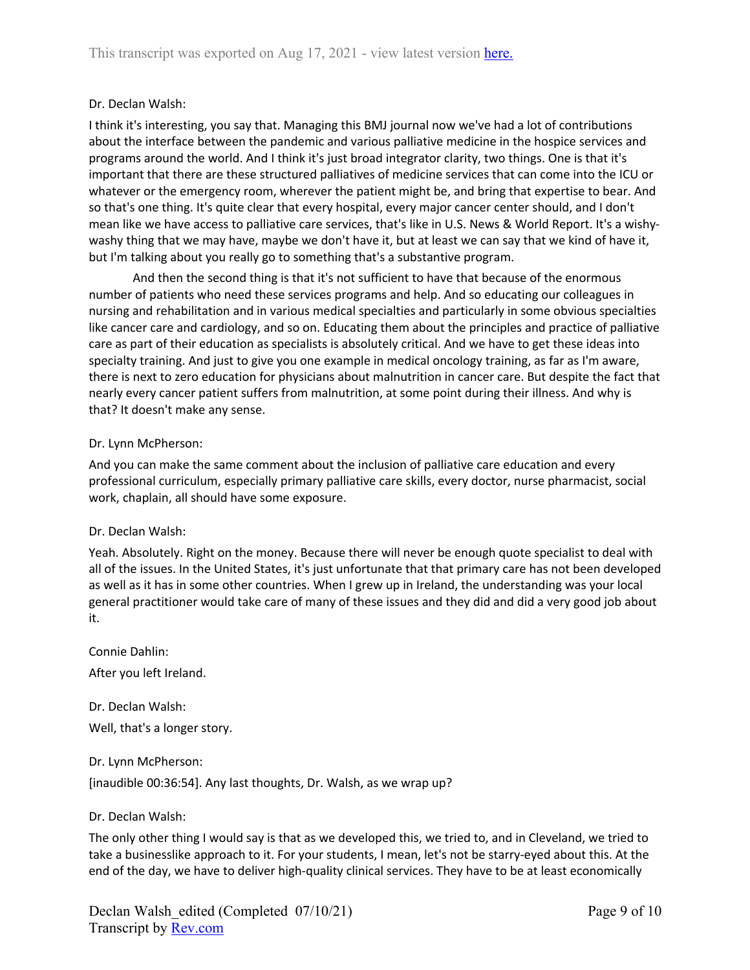# Dr. Declan Walsh:

I think it's interesting, you say that. Managing this BMJ journal now we've had a lot of contributions about the interface between the pandemic and various palliative medicine in the hospice services and programs around the world. And I think it's just broad integrator clarity, two things. One is that it's important that there are these structured palliatives of medicine services that can come into the ICU or whatever or the emergency room, wherever the patient might be, and bring that expertise to bear. And so that's one thing. It's quite clear that every hospital, every major cancer center should, and I don't mean like we have access to palliative care services, that's like in U.S. News & World Report. It's a wishywashy thing that we may have, maybe we don't have it, but at least we can say that we kind of have it, but I'm talking about you really go to something that's a substantive program.

And then the second thing is that it's not sufficient to have that because of the enormous number of patients who need these services programs and help. And so educating our colleagues in nursing and rehabilitation and in various medical specialties and particularly in some obvious specialties like cancer care and cardiology, and so on. Educating them about the principles and practice of palliative care as part of their education as specialists is absolutely critical. And we have to get these ideas into specialty training. And just to give you one example in medical oncology training, as far as I'm aware, there is next to zero education for physicians about malnutrition in cancer care. But despite the fact that nearly every cancer patient suffers from malnutrition, at some point during their illness. And why is that? It doesn't make any sense.

## Dr. Lynn McPherson:

And you can make the same comment about the inclusion of palliative care education and every professional curriculum, especially primary palliative care skills, every doctor, nurse pharmacist, social work, chaplain, all should have some exposure.

## Dr. Declan Walsh:

Yeah. Absolutely. Right on the money. Because there will never be enough quote specialist to deal with all of the issues. In the United States, it's just unfortunate that that primary care has not been developed as well as it has in some other countries. When I grew up in Ireland, the understanding was your local general practitioner would take care of many of these issues and they did and did a very good job about it.

Connie Dahlin: After you left Ireland.

Dr. Declan Walsh: Well, that's a longer story.

Dr. Lynn McPherson:

[inaudible 00:36:54]. Any last thoughts, Dr. Walsh, as we wrap up?

Dr. Declan Walsh:

The only other thing I would say is that as we developed this, we tried to, and in Cleveland, we tried to take a businesslike approach to it. For your students, I mean, let's not be starry-eyed about this. At the end of the day, we have to deliver high-quality clinical services. They have to be at least economically